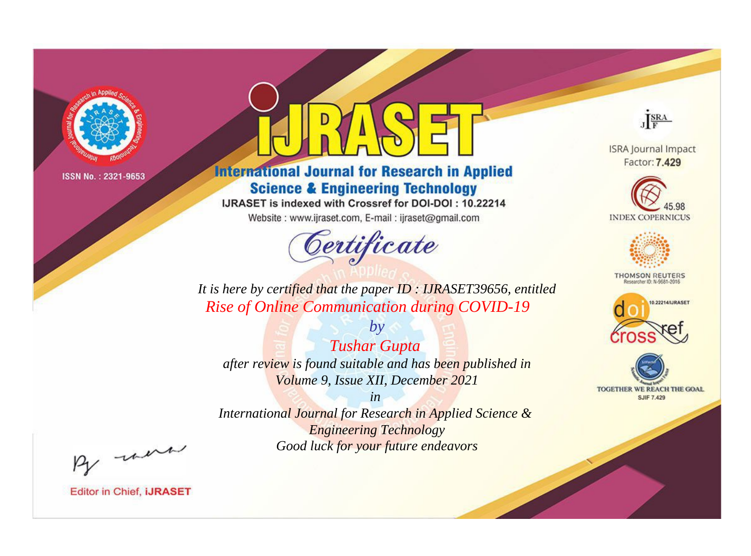

# **International Journal for Research in Applied Science & Engineering Technology**

IJRASET is indexed with Crossref for DOI-DOI: 10.22214

Website: www.ijraset.com, E-mail: ijraset@gmail.com



JERA

**ISRA Journal Impact** Factor: 7.429





**THOMSON REUTERS** 



TOGETHER WE REACH THE GOAL **SJIF 7.429** 

It is here by certified that the paper ID: IJRASET39656, entitled **Rise of Online Communication during COVID-19** 

**Tushar Gupta** after review is found suitable and has been published in Volume 9, Issue XII, December 2021

 $by$ 

 $in$ International Journal for Research in Applied Science & **Engineering Technology** Good luck for your future endeavors

By morn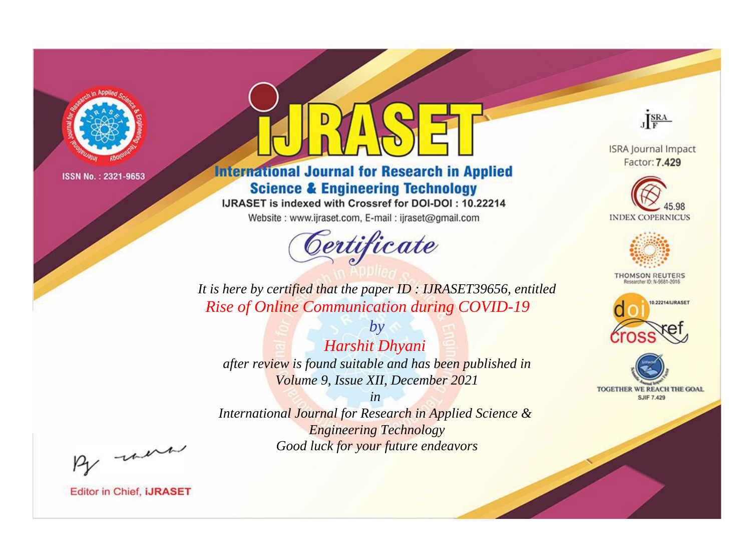

# **International Journal for Research in Applied Science & Engineering Technology**

IJRASET is indexed with Crossref for DOI-DOI: 10.22214

Website: www.ijraset.com, E-mail: ijraset@gmail.com



JERA

**ISRA Journal Impact** Factor: 7.429





**THOMSON REUTERS** 



TOGETHER WE REACH THE GOAL **SJIF 7.429** 

It is here by certified that the paper ID: IJRASET39656, entitled **Rise of Online Communication during COVID-19** 

Harshit Dhyani after review is found suitable and has been published in Volume 9, Issue XII, December 2021

 $by$ 

 $in$ International Journal for Research in Applied Science & **Engineering Technology** Good luck for your future endeavors

By morn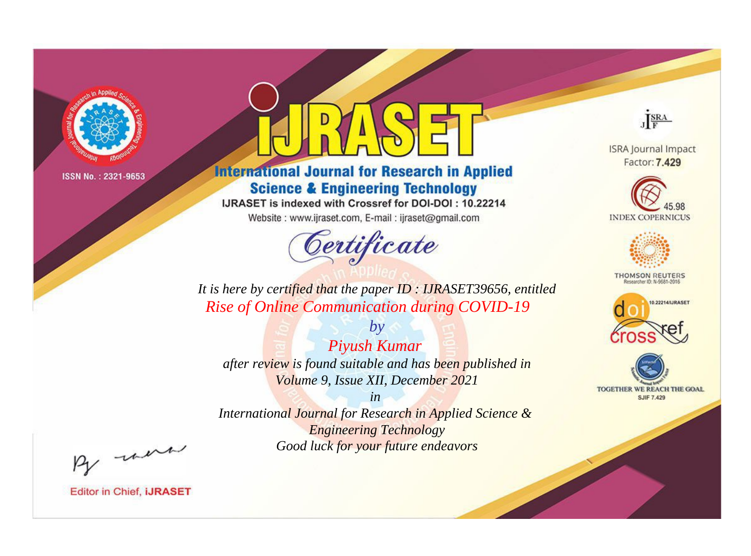

# **International Journal for Research in Applied Science & Engineering Technology**

IJRASET is indexed with Crossref for DOI-DOI: 10.22214

Website: www.ijraset.com, E-mail: ijraset@gmail.com



JERA

**ISRA Journal Impact** Factor: 7.429





**THOMSON REUTERS** 



TOGETHER WE REACH THE GOAL **SJIF 7.429** 

It is here by certified that the paper ID: IJRASET39656, entitled **Rise of Online Communication during COVID-19** 

Piyush Kumar after review is found suitable and has been published in Volume 9, Issue XII, December 2021

 $by$ 

 $in$ International Journal for Research in Applied Science & **Engineering Technology** Good luck for your future endeavors

By morn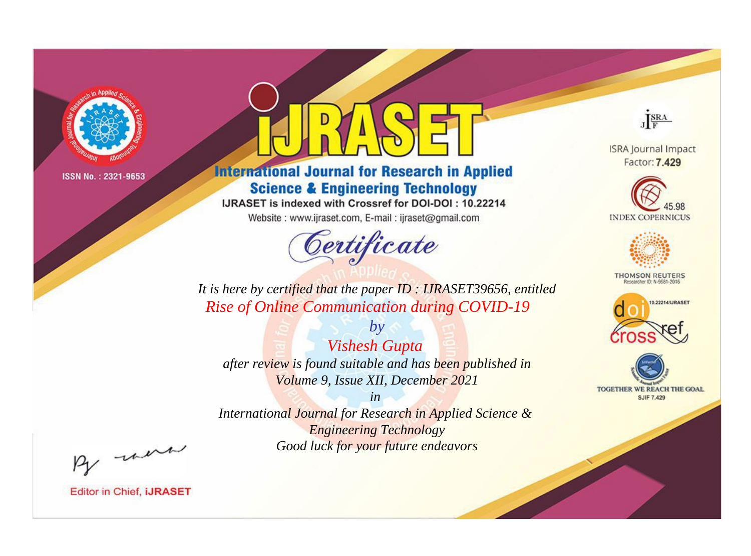

# **International Journal for Research in Applied Science & Engineering Technology**

IJRASET is indexed with Crossref for DOI-DOI: 10.22214

Website: www.ijraset.com, E-mail: ijraset@gmail.com



JERA

**ISRA Journal Impact** Factor: 7.429





**THOMSON REUTERS** 



TOGETHER WE REACH THE GOAL **SJIF 7.429** 

It is here by certified that the paper ID: IJRASET39656, entitled **Rise of Online Communication during COVID-19** 

**Vishesh Gupta** after review is found suitable and has been published in Volume 9, Issue XII, December 2021

 $by$ 

 $in$ International Journal for Research in Applied Science & **Engineering Technology** Good luck for your future endeavors

By morn